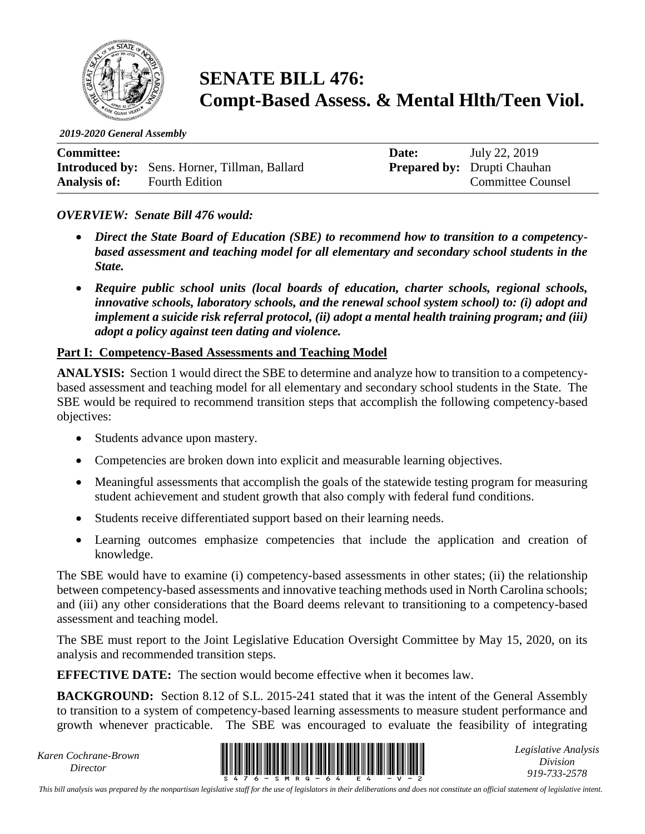

# **SENATE BILL 476: Compt-Based Assess. & Mental Hlth/Teen Viol.**

*2019-2020 General Assembly*

| <b>Committee:</b>   |                                                      | Date: | July 22, 2019                      |
|---------------------|------------------------------------------------------|-------|------------------------------------|
|                     | <b>Introduced by:</b> Sens. Horner, Tillman, Ballard |       | <b>Prepared by:</b> Drupti Chauhan |
| <b>Analysis of:</b> | <b>Fourth Edition</b>                                |       | <b>Committee Counsel</b>           |

### *OVERVIEW: Senate Bill 476 would:*

- *Direct the State Board of Education (SBE) to recommend how to transition to a competencybased assessment and teaching model for all elementary and secondary school students in the State.*
- *Require public school units (local boards of education, charter schools, regional schools, innovative schools, laboratory schools, and the renewal school system school) to: (i) adopt and implement a suicide risk referral protocol, (ii) adopt a mental health training program; and (iii) adopt a policy against teen dating and violence.*

#### **Part I: Competency-Based Assessments and Teaching Model**

**ANALYSIS:** Section 1 would direct the SBE to determine and analyze how to transition to a competencybased assessment and teaching model for all elementary and secondary school students in the State. The SBE would be required to recommend transition steps that accomplish the following competency-based objectives:

- Students advance upon mastery.
- Competencies are broken down into explicit and measurable learning objectives.
- Meaningful assessments that accomplish the goals of the statewide testing program for measuring student achievement and student growth that also comply with federal fund conditions.
- Students receive differentiated support based on their learning needs.
- Learning outcomes emphasize competencies that include the application and creation of knowledge.

The SBE would have to examine (i) competency-based assessments in other states; (ii) the relationship between competency-based assessments and innovative teaching methods used in North Carolina schools; and (iii) any other considerations that the Board deems relevant to transitioning to a competency-based assessment and teaching model.

The SBE must report to the Joint Legislative Education Oversight Committee by May 15, 2020, on its analysis and recommended transition steps.

**EFFECTIVE DATE:** The section would become effective when it becomes law.

**BACKGROUND:** Section 8.12 of S.L. 2015-241 stated that it was the intent of the General Assembly to transition to a system of competency-based learning assessments to measure student performance and growth whenever practicable. The SBE was encouraged to evaluate the feasibility of integrating

*Karen Cochrane-Brown*



*Legislative Analysis Division 919-733-2578*

*This bill analysis was prepared by the nonpartisan legislative staff for the use of legislators in their deliberations and does not constitute an official statement of legislative intent.*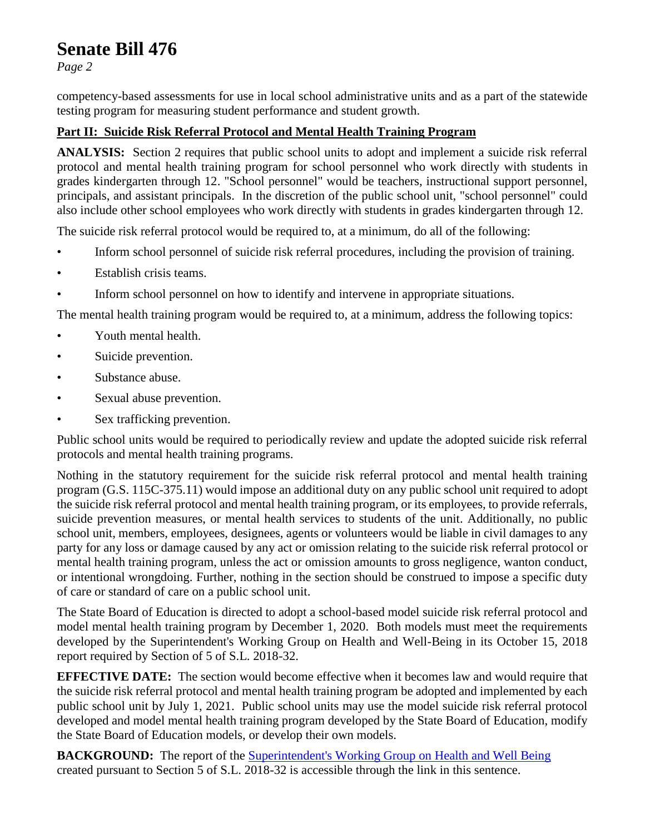# **Senate Bill 476**

*Page 2*

competency-based assessments for use in local school administrative units and as a part of the statewide testing program for measuring student performance and student growth.

## **Part II: Suicide Risk Referral Protocol and Mental Health Training Program**

**ANALYSIS:** Section 2 requires that public school units to adopt and implement a suicide risk referral protocol and mental health training program for school personnel who work directly with students in grades kindergarten through 12. "School personnel" would be teachers, instructional support personnel, principals, and assistant principals. In the discretion of the public school unit, "school personnel" could also include other school employees who work directly with students in grades kindergarten through 12.

The suicide risk referral protocol would be required to, at a minimum, do all of the following:

- Inform school personnel of suicide risk referral procedures, including the provision of training.
- Establish crisis teams.
- Inform school personnel on how to identify and intervene in appropriate situations.

The mental health training program would be required to, at a minimum, address the following topics:

- Youth mental health.
- Suicide prevention.
- Substance abuse.
- Sexual abuse prevention.
- Sex trafficking prevention.

Public school units would be required to periodically review and update the adopted suicide risk referral protocols and mental health training programs.

Nothing in the statutory requirement for the suicide risk referral protocol and mental health training program (G.S. 115C-375.11) would impose an additional duty on any public school unit required to adopt the suicide risk referral protocol and mental health training program, or its employees, to provide referrals, suicide prevention measures, or mental health services to students of the unit. Additionally, no public school unit, members, employees, designees, agents or volunteers would be liable in civil damages to any party for any loss or damage caused by any act or omission relating to the suicide risk referral protocol or mental health training program, unless the act or omission amounts to gross negligence, wanton conduct, or intentional wrongdoing. Further, nothing in the section should be construed to impose a specific duty of care or standard of care on a public school unit.

The State Board of Education is directed to adopt a school-based model suicide risk referral protocol and model mental health training program by December 1, 2020. Both models must meet the requirements developed by the Superintendent's Working Group on Health and Well-Being in its October 15, 2018 report required by Section of 5 of S.L. 2018-32.

**EFFECTIVE DATE:** The section would become effective when it becomes law and would require that the suicide risk referral protocol and mental health training program be adopted and implemented by each public school unit by July 1, 2021. Public school units may use the model suicide risk referral protocol developed and model mental health training program developed by the State Board of Education, modify the State Board of Education models, or develop their own models.

**BACKGROUND:** The report of the [Superintendent's Working Group](https://www.ncleg.gov/documentsites/committees/JLEOC/Reports%20Received/2018%20Reports%20Received/Recommendations%20from%20Superintendent%E2%80%99s%20Working%20Group%20on%20Student%20Health%20&%20Well-Being.pdf.) on Health and Well Being created pursuant to Section 5 of S.L. 2018-32 is accessible through the link in this sentence.